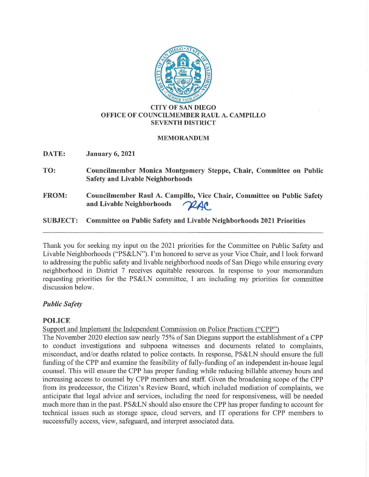

### **CITY OF SAN DIEGO OFFICE OF COUNCILMEMBER RAUL A. CAMPILLO SEVENTH DISTRICT**

### **MEMORANDUM**

**DATE: January 6, 2021** 

- **TO: Councilmember Monica Montgomery Steppe, Chair, Committee on Public Safety and Livable Neighborhoods**
- **FROM: Councilmember Raul A. Campillo, Vice Chair, Committee on Public Safety**  Councilmember Raul A. Campillo, Vice Chair, C<br>and Livable Neighborhoods *^ AAC*

# **SUBJECT: Committee on Public Safety and Livable Neighborhoods 2021 Priorities**

Thank you for seeking my input on the 2021 priorities for the Committee on Public Safety and Livable Neighborhoods ("PS&LN"). I'm honored to serve as your Vice Chair, and I look forward to addressing the public safety and livable neighborhood needs of San Diego while ensuring every neighborhood in District 7 receives equitable resources. In response to your memorandum requesting priorities for the PS&LN committee, I am including my priorities for committee discussion below.

# *Public Safety*

# **POLICE**

Support and Implement the Independent Commission on Police Practices ("CPP")

The November 2020 election saw nearly 75% of San Diegans support the establishment of a CPP to conduct investigations and subpoena witnesses and documents related to complaints, misconduct, and/or deaths related to police contacts. In response, PS&LN should ensure the full funding of the CPP and examine the feasibility of fully-funding of an independent in-house legal counsel. This will ensure the CPP has proper funding while reducing billable attorney hours and increasing access to counsel by CPP members and staff. Given the broadening scope of the CPP from its predecessor, the Citizen's Review Board, which included mediation of complaints, we anticipate that legal advice and services, including the need for responsiveness, will be needed much more than in the past. PS&LN should also ensure the CPP has proper funding to account for technical issues such as storage space, cloud servers, and IT operations for CPP members to successfully access, view, safeguard, and interpret associated data.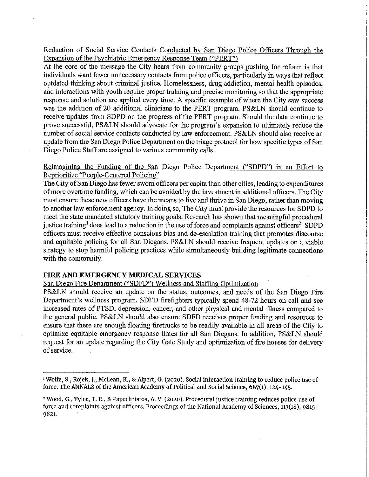Reduction of Social Service Contacts Conducted by San Diego Police Officers Through the Expansion of the Psychiatric Emergency Response Team ("PERT")

At the core of the message the City hears from community groups pushing for reform is that individuals want fewer unnecessary contacts from police officers, particularly in ways that reflect outdated thinking about criminal justice. Homelessness, drug addiction, mental health episodes, and interactions with youth require proper training and precise monitoring so that the appropriate response and solution are applied every time. A specific example of where the City saw success was the addition of 20 additional clinicians to the PERT program. PS&LN should continue to receive updates from SDPD on the progress of the PERT program. Should the data continue to prove successful, PS&LN should advocate for the program's expansion to ultimately reduce the number of social service contacts conducted by law enforcement. PS&LN should also receive an update from the San Diego Police Department on the triage protocol for how specific types of San Diego Police Staff are assigned to various community calls.

# Reimagining the Funding of the San Diego Police Department ("SDPD") in an Effort to Reprioritize "People-Centered Policing"

The City of San Diego has fewer sworn officers per capita than other cities, leading to expenditures of more overtime funding, which can be avoided by the investment in additional officers. The City must ensure these new officers have the means to live and thrive in San Diego, rather than moving to another law enforcement agency. In doing so, The City must provide the resources for SDPD to meet the state mandated statutory training goals. Research has shown that meaningful procedural justice training<sup>1</sup> does lead to a reduction in the use of force and complaints against officers<sup>2</sup>. SDPD officers must receive effective conscious bias and de-escalation training that promotes discourse and equitable policing for all San Diegans. PS&LN should receive frequent updates on a viable strategy to stop harmful policing practices while simultaneously building legitimate connections with the community.

### **FIRE AND EMERGENCY MEDICAL SERVICES**

San Diego Fire Department ("SDFD") Wellness and Staffing Optimization

PS&LN should receive an update on the status, outcomes, and needs of the San Diego Fire Department's wellness program. SDFD firefighters typically spend 48-72 hours on call and see increased rates of PTSD, depression, cancer, and other physical and mental illness compared to the general public. PS&LN should also ensure SDFD receives proper funding and resources to ensure that there are enough floating firetrucks to be readily available in all areas of the City to optimize equitable emergency response times for all San Diegans. In addition, PS&LN should request for an update regarding the City Gate Study and optimization of fire houses for delivery of service.

<sup>1</sup> Wolfe, s., Rojek, J., McLean, K., & Alpert, G. (2020). Social interaction training to reduce police use of force. The ANNALS of the American Academy of Political and Social Science, 687(1), 124-145.

<sup>&#</sup>x27;Wood, G., Tyler, T. R., & Papachristos, A. V. (2020). Procedural justice training reduces police use of force and complaints against officers. Proceedings of the National Academy of Sciences, 117(18), 9815- 9821.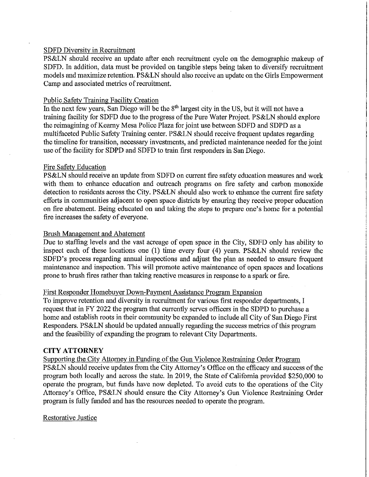### SDFD Diversity in Recruitment

PS&LN should receive an update after each recruitment cycle on the demographic makeup of SDFD. In addition, data must be provided on tangible steps being taken to diversify recruitment models and maximize retention. PS&LN should also receive an update on the Girls Empowerment Camp and associated metrics of recruitment.

### Public Safety Training Facility Creation

In the next few years, San Diego will be the 8<sup>th</sup> largest city in the US, but it will not have a training facility for SDFD due to the progress of the Pure Water Project. PS&LN should explore the reimagining of Kearny Mesa Police Plaza for joint use between SDFD and SDPD as a multifaceted Public Safety Training center. PS&LN should receive frequent updates regarding the timeline for transition, necessary investments, and predicted maintenance needed for the joint use of the facility for SDPD and SDFD to train first responders in San Diego.

### Fire Safety Education

PS&LN should receive an update from SDFD on current fire safety education measures and work with them to enhance education and outreach programs on fire safety and carbon monoxide detection to residents across the City. PS&LN should also work to enhance the current fire safety efforts in communities adjacent to open space districts by ensuring they receive proper education on fire abatement. Being educated on and taking the steps to prepare one's home for a potential fire increases the safety of everyone.

### Brush Management and Abatement

Due to staffing levels and the vast acreage of open space in the City, SDFD only has ability to inspect each of these locations one (1) time every four (4) years. PS&LN should review the SDFD's process regarding annual inspections and adjust the plan as needed to ensure frequent maintenance and inspection. This will promote active maintenance of open spaces and locations prone to brush fires rather than taking reactive measures in response to a spark or fire.

### First Responder Homebuyer Down-Payment Assistance Program Expansion

To improve retention and diversity in recruitment for various first responder departments, I request that in FY 2022 the program that currently serves officers in the SDPD to purchase a home and establish roots in their community be expanded to include all City of San Diego First Responders. PS&LN should be updated annually regarding the success metrics of this program and the feasibility of expanding the program to relevant City Departments.

#### **CITY ATTORNEY**

Supporting the City Attorney in Funding of the Gun Violence Restraining Order Program PS&LN should receive updates from the City Attorney's Office on the efficacy and success of the program both locally and across the state. In 2019, the State of California provided \$250,000 to operate the program, but funds have now depleted. To avoid cuts to the operations of the City Attorney's Office, PS&LN should ensure the City Attorney's Gun Violence Restraining Order program is fully funded and has the resources needed to operate the program.

Restorative Justice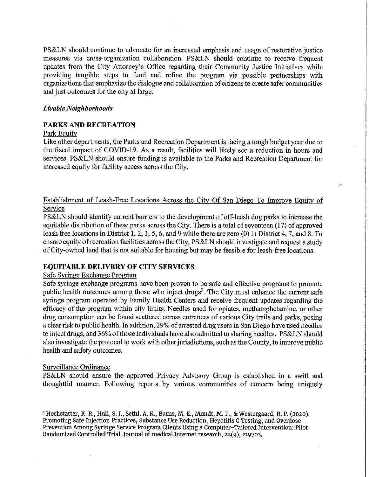PS&LN should continue to advocate for an increased emphasis and usage of restorative justice measures via cross-organization collaboration. PS&LN should continue to receive frequent updates from the City Attorney's Office regarding their Community Justice Initiatives while providing tangible steps to. fund and refine the program via possible partnerships with organizations that emphasize the dialogue and collaboration of citizens to create safer communities and just outcomes for the city at large.

#### *Livable Neighborhoods*

#### **PARKS AND RECREATION**

#### Park Equity

Like other departments, the Parks and Recreation Department is facing a tough budget year due to the fiscal impact of COVID-19. As a result, facilities will likely see a reduction in hours and services. PS&LN should ensure funding is available to the Parks and Recreation Department for increased equity for facility access across the City.

Establishment of Leash-Free Locations Across the City Of San Diego To Improve Equity of Service

/

PS&LN should identify current barriers to the development of off-leash dog parks to increase the equitable distribution of these parks across the City. There is a total of seventeen (17) of approved leash free locations in District I, 2, 3, 5, 6, and 9 while there are zero (0) in District 4, 7, and 8. To ensure equity of recreation facilities across the City, PS&LN should investigate and request a study of City-owned land that is not suitable for housing but may be feasible for leash-free locations.

## **EQUITABLE DELIVERY OF CITY SERVICES**

## Safe Syringe Exchange Program

Safe syringe exchange programs have been proven to be safe and effective programs to promote public health outcomes among those who inject drugs<sup>3</sup>. The City must enhance the current safe syringe program operated by Family Health Centers and receive frequent updates regarding the efficacy of the program within city limits. Needles used for opiates, methamphetamine, or other drug consumption can be found scattered across entrances of various City trails and parks, posing a clear risk to public health. In addition, 29% of arrested drug users in San Diego have used needles to inject drugs, and 36% of those individuals have also admitted to sharing needles. PS&LN should also investigate the protocol to work with other jurisdictions, such as the County, to improve public health and safety outcomes.

#### Surveillance Ordinance

PS&LN should ensure the approved Privacy Advisory Group is established in a swift and thoughtful manner. Following reports by various communities of concern being uniquely

<sup>3</sup>Hochstatter, K. R., Hull, s. J., Sethi, A. K., Burns, M. E., Mundt, M. P., & Westergaard, R. P. (2020). Promoting Safe Injection Practices, Substance Use Reduction, Hepatitis C Testing, and Overdose Prevention Among Syringe Service Program Clients Using a Computer-Tailored Intervention: Pilot Randomized Controlled Trial. Journal of medical Internet research, 22(9), e19703.